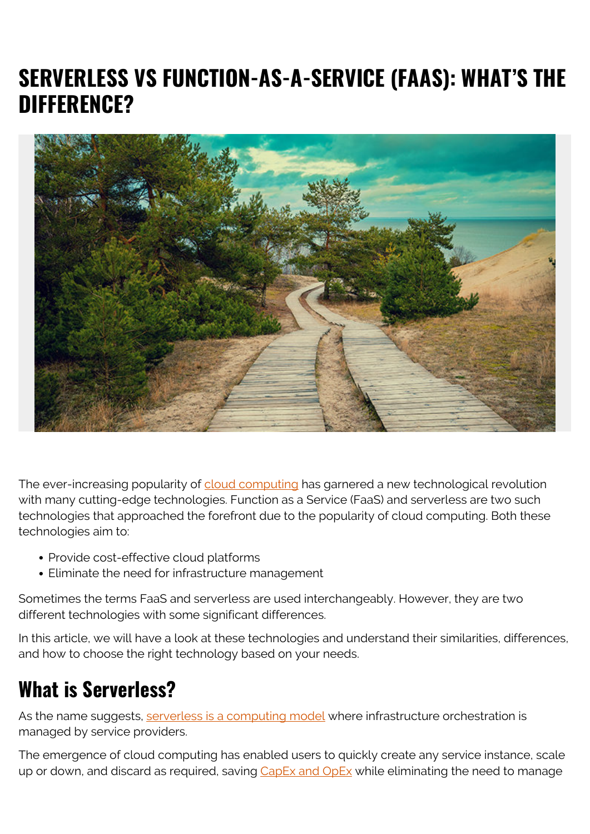# **SERVERLESS VS FUNCTION-AS-A-SERVICE (FAAS): WHAT'S THE DIFFERENCE?**



The ever-increasing popularity of [cloud computing](https://blogs.bmc.com/blogs/saas-vs-paas-vs-iaas-whats-the-difference-and-how-to-choose/) has garnered a new technological revolution with many cutting-edge technologies. Function as a Service (FaaS) and serverless are two such technologies that approached the forefront due to the popularity of cloud computing. Both these technologies aim to:

- Provide cost-effective cloud platforms
- Eliminate the need for infrastructure management

Sometimes the terms FaaS and serverless are used interchangeably. However, they are two different technologies with some significant differences.

In this article, we will have a look at these technologies and understand their similarities, differences, and how to choose the right technology based on your needs.

## **What is Serverless?**

As the name suggests, [serverless is a computing model](https://blogs.bmc.com/blogs/serverless-computing/) where infrastructure orchestration is managed by service providers.

The emergence of cloud computing has enabled users to quickly create any service instance, scale up or down, and discard as required, saving [CapEx and OpEx](https://blogs.bmc.com/blogs/capex-vs-opex/) while eliminating the need to manage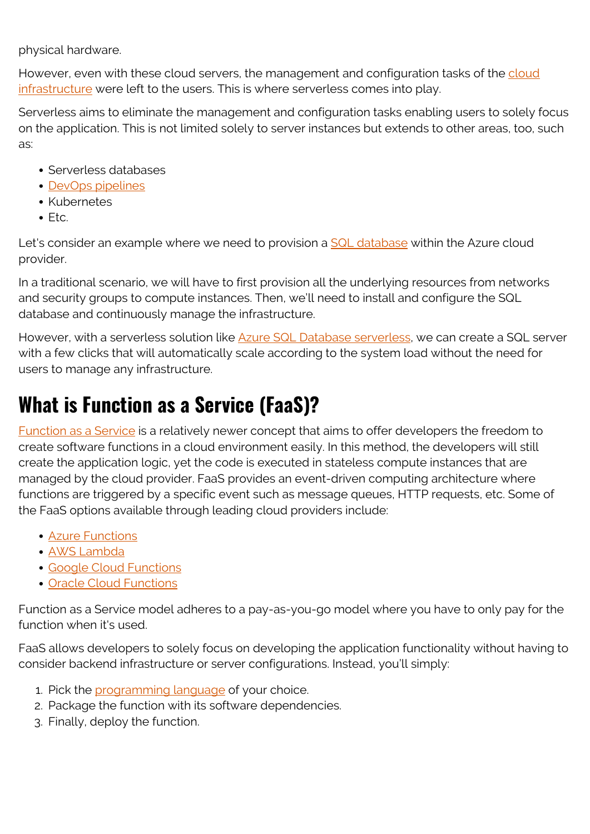physical hardware.

However, even with these cloud servers, the management and configuration tasks of the [cloud](https://blogs.bmc.com/blogs/cloud-infrastructure/) [infrastructure](https://blogs.bmc.com/blogs/cloud-infrastructure/) were left to the users. This is where serverless comes into play.

Serverless aims to eliminate the management and configuration tasks enabling users to solely focus on the application. This is not limited solely to server instances but extends to other areas, too, such as:

- Serverless databases
- [DevOps pipelines](https://blogs.bmc.com/blogs/ci-cd-pipeline-setup/)
- Kubernetes
- $E_{\text{t}}$

Let's consider an example where we need to provision a [SQL database](https://blogs.bmc.com/blogs/sql-vs-nosql/) within the Azure cloud provider.

In a traditional scenario, we will have to first provision all the underlying resources from networks and security groups to compute instances. Then, we'll need to install and configure the SQL database and continuously manage the infrastructure.

However, with a serverless solution like **Azure SQL Database serverless**, we can create a SQL server with a few clicks that will automatically scale according to the system load without the need for users to manage any infrastructure.

# **What is Function as a Service (FaaS)?**

[Function as a Service](https://blogs.bmc.com/blogs/faas-function-as-a-service/) is a relatively newer concept that aims to offer developers the freedom to create software functions in a cloud environment easily. In this method, the developers will still create the application logic, yet the code is executed in stateless compute instances that are managed by the cloud provider. FaaS provides an event-driven computing architecture where functions are triggered by a specific event such as message queues, HTTP requests, etc. Some of the FaaS options available through leading cloud providers include:

- [Azure Functions](https://azure.microsoft.com/en-us/services/functions/)
- [AWS Lambda](https://aws.amazon.com/lambda/)
- [Google Cloud Functions](https://cloud.google.com/functions/)
- [Oracle Cloud Functions](https://www.oracle.com/cloud-native/functions/)

Function as a Service model adheres to a pay-as-you-go model where you have to only pay for the function when it's used.

FaaS allows developers to solely focus on developing the application functionality without having to consider backend infrastructure or server configurations. Instead, you'll simply:

- 1. Pick the [programming language](https://blogs.bmc.com/blogs/programming-languages/) of your choice.
- 2. Package the function with its software dependencies.
- 3. Finally, deploy the function.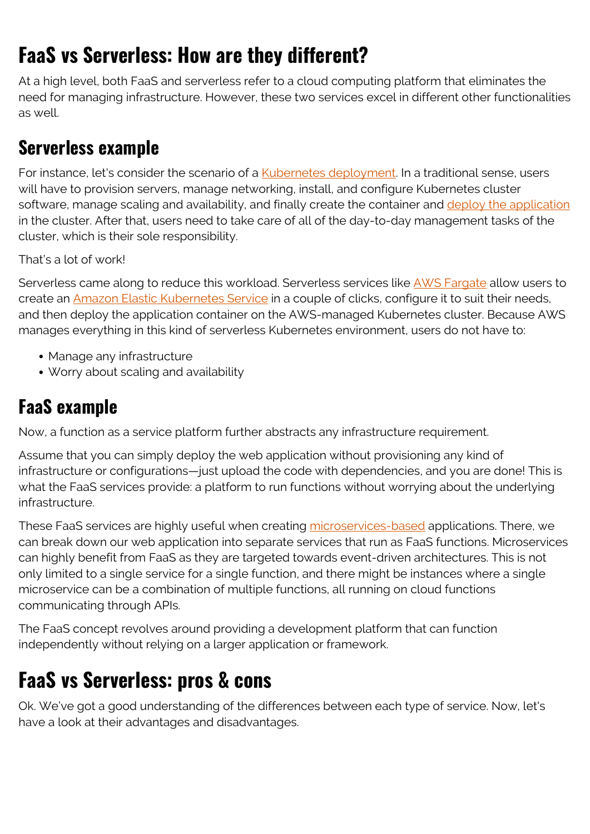# **FaaS vs Serverless: How are they different?**

At a high level, both FaaS and serverless refer to a cloud computing platform that eliminates the need for managing infrastructure. However, these two services excel in different other functionalities as well.

### **Serverless example**

For instance, let's consider the scenario of a [Kubernetes deployment.](https://blogs.bmc.com/blogs/kubernetes-deployment/) In a traditional sense, users will have to provision servers, manage networking, install, and configure Kubernetes cluster software, manage scaling and availability, and finally create the container and [deploy the application](https://blogs.bmc.com/blogs/software-deployment-vs-release/) in the cluster. After that, users need to take care of all of the day-to-day management tasks of the cluster, which is their sole responsibility.

That's a lot of work!

Serverless came along to reduce this workload. Serverless services like **AWS Fargate** allow users to create an [Amazon Elastic Kubernetes Service](https://aws.amazon.com/eks/?whats-new-cards.sort-by=item.additionalFields.postDateTime&whats-new-cards.sort-order=desc&eks-blogs.sort-by=item.additionalFields.createdDate&eks-blogs.sort-order=desc) in a couple of clicks, configure it to suit their needs, and then deploy the application container on the AWS-managed Kubernetes cluster. Because AWS manages everything in this kind of serverless Kubernetes environment, users do not have to:

- Manage any infrastructure
- Worry about scaling and availability

### **FaaS example**

Now, a function as a service platform further abstracts any infrastructure requirement.

Assume that you can simply deploy the web application without provisioning any kind of infrastructure or configurations—just upload the code with dependencies, and you are done! This is what the FaaS services provide: a platform to run functions without worrying about the underlying infrastructure.

These FaaS services are highly useful when creating [microservices-based](https://blogs.bmc.com/blogs/microservices-architecture/) applications. There, we can break down our web application into separate services that run as FaaS functions. Microservices can highly benefit from FaaS as they are targeted towards event-driven architectures. This is not only limited to a single service for a single function, and there might be instances where a single microservice can be a combination of multiple functions, all running on cloud functions communicating through APIs.

The FaaS concept revolves around providing a development platform that can function independently without relying on a larger application or framework.

## **FaaS vs Serverless: pros & cons**

Ok. We've got a good understanding of the differences between each type of service. Now, let's have a look at their advantages and disadvantages.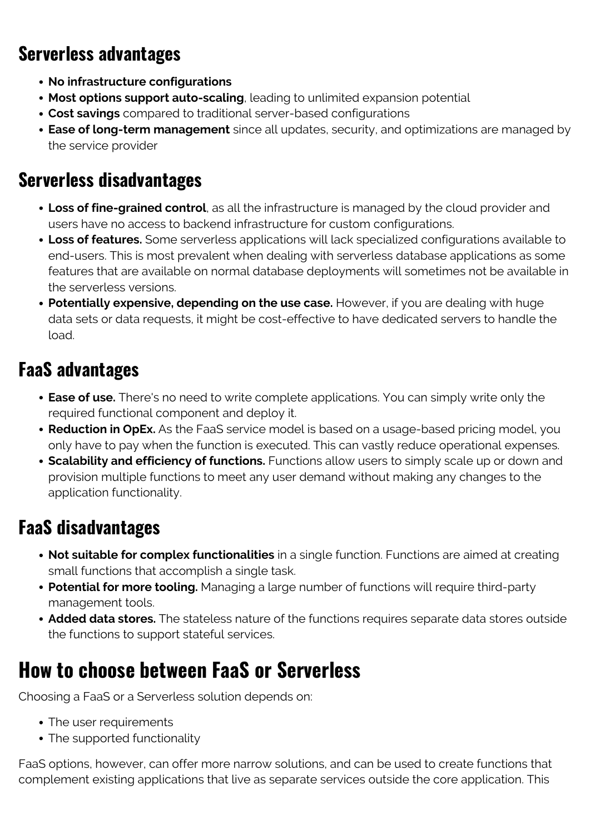### **Serverless advantages**

- **No infrastructure configurations**
- **Most options support auto-scaling**, leading to unlimited expansion potential
- **Cost savings** compared to traditional server-based configurations
- **Ease of long-term management** since all updates, security, and optimizations are managed by the service provider

### **Serverless disadvantages**

- **Loss of fine-grained control**, as all the infrastructure is managed by the cloud provider and users have no access to backend infrastructure for custom configurations.
- **Loss of features.** Some serverless applications will lack specialized configurations available to end-users. This is most prevalent when dealing with serverless database applications as some features that are available on normal database deployments will sometimes not be available in the serverless versions.
- **Potentially expensive, depending on the use case.** However, if you are dealing with huge data sets or data requests, it might be cost-effective to have dedicated servers to handle the load.

## **FaaS advantages**

- **Ease of use.** There's no need to write complete applications. You can simply write only the required functional component and deploy it.
- **Reduction in OpEx.** As the FaaS service model is based on a usage-based pricing model, you only have to pay when the function is executed. This can vastly reduce operational expenses.
- **Scalability and efficiency of functions.** Functions allow users to simply scale up or down and provision multiple functions to meet any user demand without making any changes to the application functionality.

## **FaaS disadvantages**

- **Not suitable for complex functionalities** in a single function. Functions are aimed at creating small functions that accomplish a single task.
- **Potential for more tooling.** Managing a large number of functions will require third-party management tools.
- **Added data stores.** The stateless nature of the functions requires separate data stores outside the functions to support stateful services.

## **How to choose between FaaS or Serverless**

Choosing a FaaS or a Serverless solution depends on:

- The user requirements
- The supported functionality

FaaS options, however, can offer more narrow solutions, and can be used to create functions that complement existing applications that live as separate services outside the core application. This